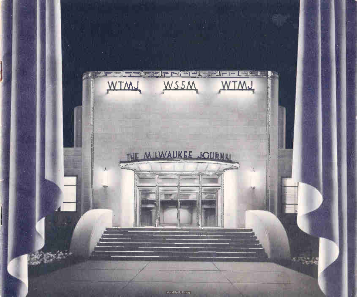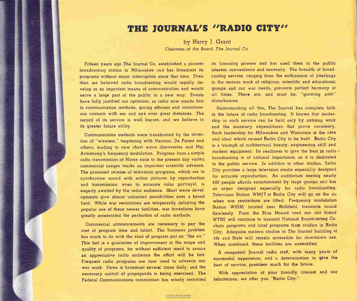## THE JOURNAL'S "RADIO CITY"

by Harry J. Grant Chairman of the Board, The Journal Co.

Fifteen years ago The Journal Co. established a pioneer broadcasting station in Milwaukee and has broadcast its programs without major interruption since that time. Even then we believed radio broadcasting would rapidly develop as an important means of communication and would serve a large part of the public in a new way. Events have fully justified our optimism, as radio now stands first in communication methods, giving efficient and instantaneous contacts with ear and eye over great distances. The record of its service is well known, and we believe in its greater future utility.

Communication methods were transformed by the invention of " wireless," beginning with Marconi, De Forest and others, leading to new short wave discoveries and Maj. Armstrong's frequency modulation. Progress from a simple radio transmission of Morse code to the present day varied commercial usages marks an important scientific advance. The promised release of television programs, which are to synchronize sound with action pictures by reproduction and transmission, even to accurate color portrayal, is eagerly awaited by the radio audience. Short wave developments give almost unlimited possibilities over a broad field. While war restrictions are temporarily delaying the popular use of these newer facilities, war inventions have greatly accelerated the perfection of radio methods.

Commercial announcements are necessary to pay the cost of program time and talent. The business problem has much to do with the kind of program put on "the air." This fact is a guarantee of improvement in the scope and quality of programs, for without sufficient merit to assure an appreciative radio audience the effort will be lost. Frequent radio programs are now used to advance our war work. News is broadcast several times daily, and the necessary control of propaganda is being exercised. The Federal Communications commission has wisely restricted its licensing powers and has used them in the public interest, convenience and necessity. The breadth of broadcasting service, ranging from the enthusiasm of jitterbugs to the serious work of religious, scientific and educational groups and our war needs, prevents perfect harmony at all times. There are, and must be, "growing pain" disturbances.

Understanding all this, The Journal has complete faith in the future of radio broadcasting. It knows that leadership in such service can be held only by untiring work and the monetary expenditures that prove necessary. Such leadership for Milwaukee and Wisconsin is the idea and ideal which caused Radio City to be built. Radio City is a triumph of architectural beauty, engineering skill and modern equipment. Its readiness to give the best in radio '. broadcasting is of national importance, as it is dedicated to the public service. In addition to other studios, Radio City provides a large television studio especially designed for accurate reproduction. An auditorium seating nearly 400 people affords entertainment by large groups and has an organ designed especially for radio broadcasting. Television Station WMJT at Radio City will go on the air when war restrictions are lifted. Frequency modulation Station W55M, located near Richfield, transmits sound flawlessly. From the Blue Mound road our old friend WTMJ will continue to transmit National Broadcasting Co. chain programs and local programs from studios in Radio City. Adequate modern studios in The Journal building at 4th and State will remain accessible for downtown use. When combined, these facilities are unexcelled.

A competent Journal radio staff, with many years of successful experience, and a determination to give the best of service, promises much for the future.

With appreciation of your friendly interest and our felicitations, we offer you "Radio City."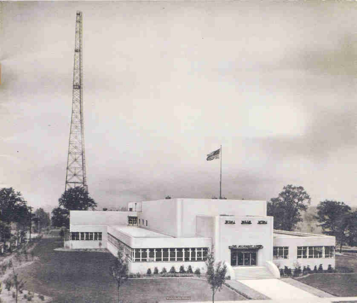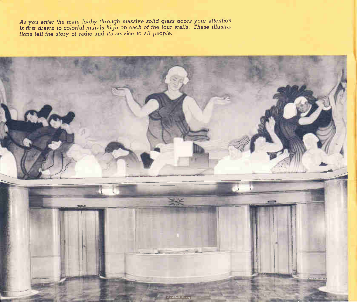As you enter the main lobby through massive solid glass doors your attention is first drawn to colorful murals high on each of the four walls. These illustrations tell the story of radio and its service to all people.

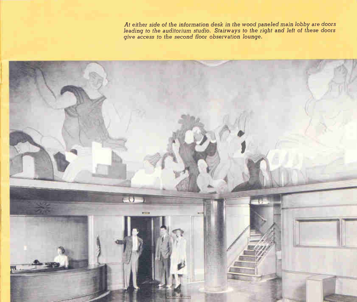At either side of the information desk in the wood paneled main lobby are doors leading to the auditorium studio. Stairways to the right and left of these doors give access to the second floor observation lounge.

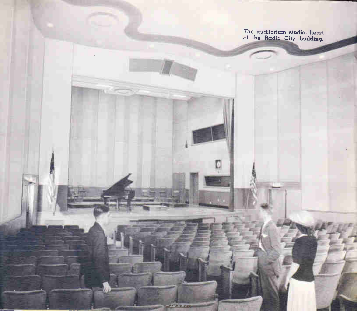The auditorium studio, heart of the Radia City building.

n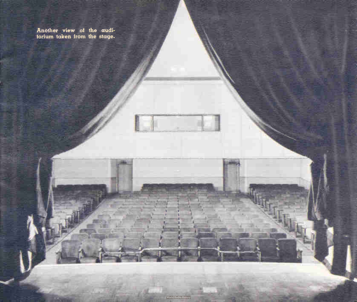Another view of the auditorium taken from the stage.



World Radio History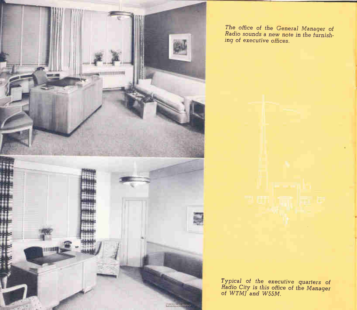

The onice of the General Manager of Radio sounds a new note in the furnishing of executive offices.

rypical of the executive quarters of Radio City is this office of the Manager of WTMJ and W55M.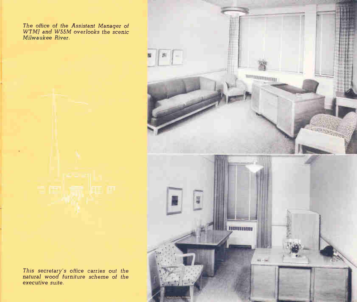The office of the Assistant Manager of  $\,$ WTM1 and W55M overlooks the scenic Milwaukee River.

This secretary's office carries out the natural wood furniture scheme of the executive suite.

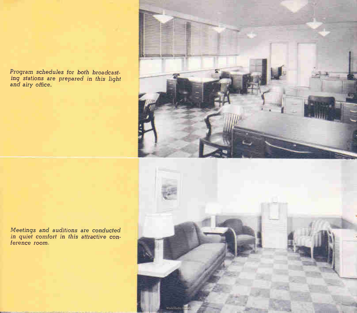Program schedules for both broadcasting stations are prepared in this light and airy omice. .





Meetings and auditions are conducted in quiet comfort in this attractive conference room.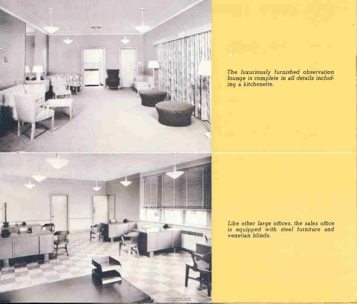

The luxuriously furnished observation lounge is complete in all details includ-ing a kitchenette.

Like other large offices, the sales office is equipped with steel furniture and venetian blinds.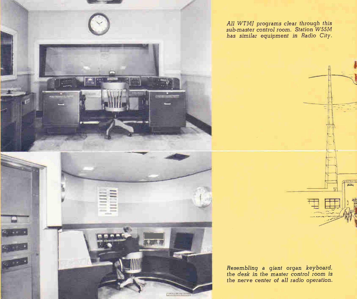

All WTMJ programs clear through this sub-master control room. Station W55M has similar equipment in Radio City.

Resembling a giant organ keyboard, the desk in the master control room is the nerve center of all radio operation.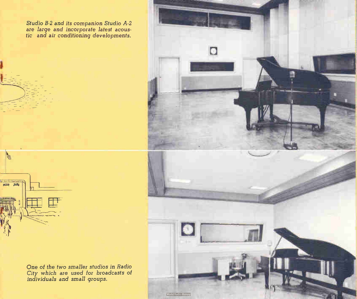Studio B-2 and its companion Studio A-2 are large and incorporate latest acoustic and air conditioning developments.



One of the two smaller studios in Radio City which are used for broadcasts of individuals and small groups.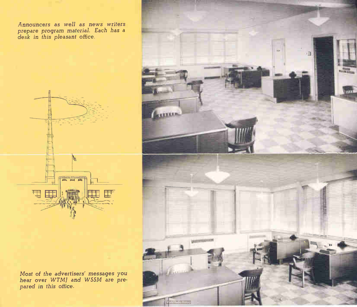Announcers as well as news writers prepare program material. Each has a desk in this pleasant office.



Most of the advertisers' messages you hear over WTMJ and W55M are prepared in this office.

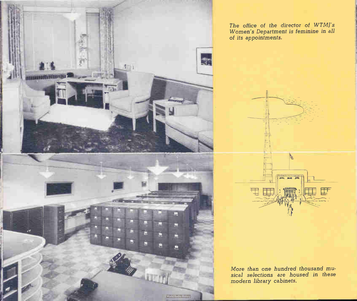

The office of the director of WTMJ's Women's Department is feminine in all of its appointments.



More than one hundred thousand musical selections are housed in these modern library cabinets.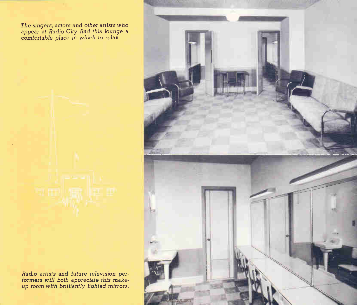The singers, actors and other artists who appear at Radio City find this lounge a comfortable place in which to relax.

Radio artists and future television performers will both appreciate this makeup room with brilliantly lighted mirrors.

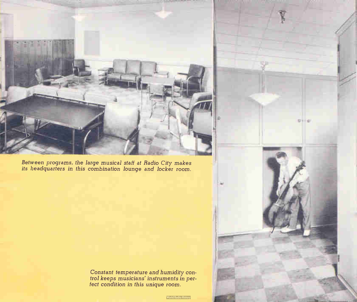

between programs, the large musical staff at Radio City makes its headquarters in this combination lounge and locker room.

> Constant temperature and humidity control keeps musicians' instruments in perfect condition in this unique room.



**World Radio History**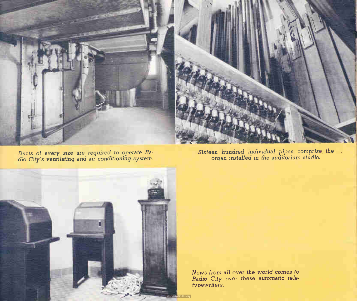

Ducts of every size are required to operate Radio City's ventilating and air conditioning system.



Sixteen hundred individual pipes comprise the organ installed in the auditorium studio.



News from all over the world comes to Radio City over these automatic teletypewriters.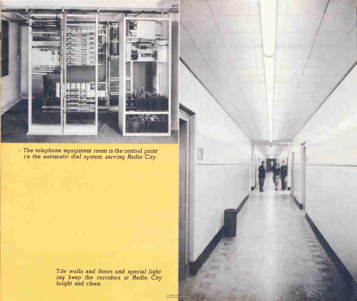

, The telephone equipment room is the central point in the automatic dial system serving Radio City.

> Tile walls and floors and special lighting keep the corridors at Radio City bright and clean.

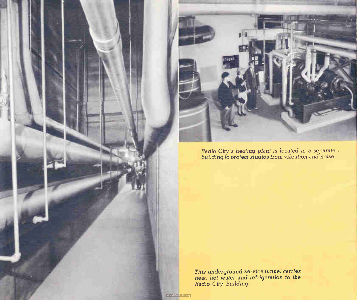



Radio City's heating plant is located in a separate building to protect studios from vibration and noise.

This underground service tunnel carries heat, hot water and refrigeration to the Radio City building.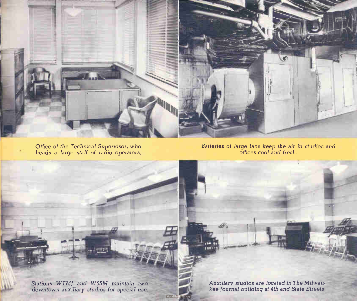

World

Office of the Technical Supervisor, who  $\blacksquare$ heads a large staff of radio operators. Batteries of large fans keep the air in studios and omces cool and fresh. I

Stations  $WTMI$  and  $W55M$  maintain two Auxiliary studios are located in The Milwau-

•

downtown auxiliary studios for special use. kee Journal building at 4th and State Streets.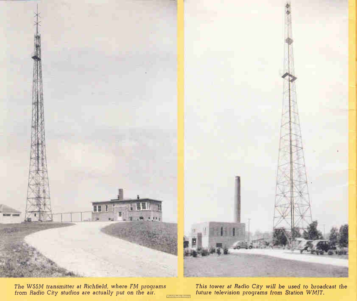

The W55M transmitter at Richfield, where FM programs from Radio City studios are actually put on the air.

This tower at Radio City will be used to broadcast the future television programs from Station WMJT.

**World Radio History**